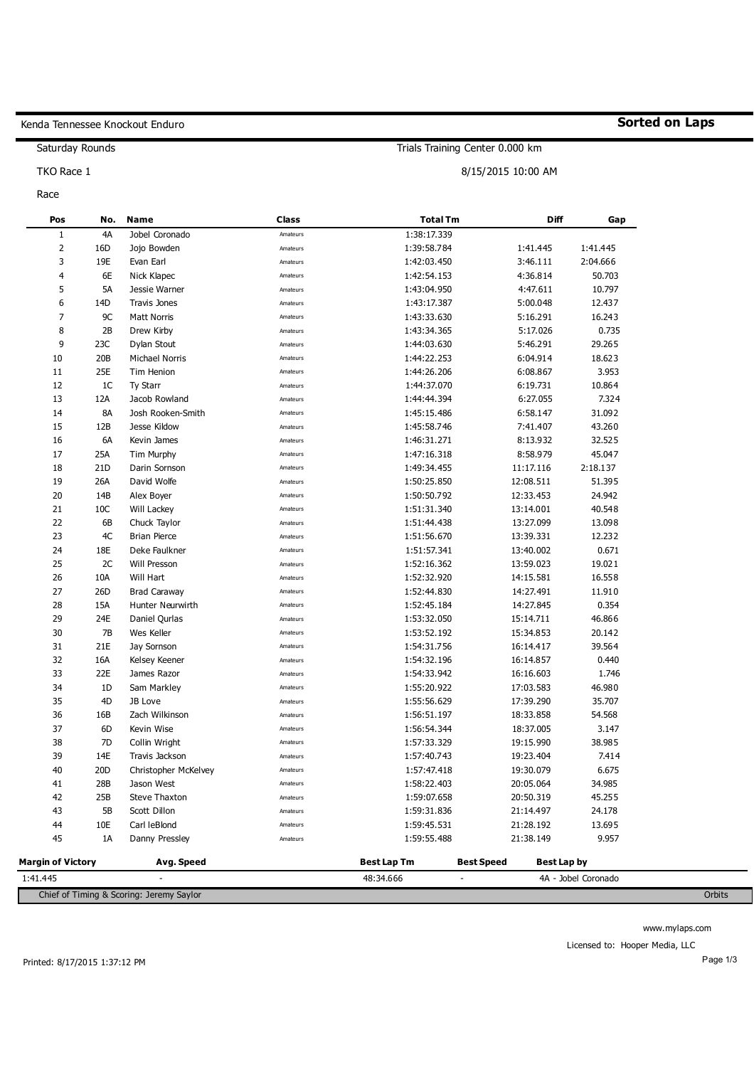## Kenda Tennessee Knockout Enduro

Saturday Rounds

TKO Race 1

Race

| Pos                      | No.             | <b>Name</b>           | <b>Class</b> | <b>Total Tm</b>    |                   | Diff        | Gap      |
|--------------------------|-----------------|-----------------------|--------------|--------------------|-------------------|-------------|----------|
| $1\,$                    | 4A              | Jobel Coronado        | Amateurs     | 1:38:17.339        |                   |             |          |
| $\overline{2}$           | 16D             | Jojo Bowden           | Amateurs     | 1:39:58.784        | 1:41.445          |             | 1:41.445 |
| 3                        | 19E             | Evan Earl             | Amateurs     | 1:42:03.450        | 3:46.111          |             | 2:04.666 |
| $\overline{4}$           | 6E              | Nick Klapec           | Amateurs     | 1:42:54.153        | 4:36.814          |             | 50.703   |
| 5                        | 5A              | Jessie Warner         | Amateurs     | 1:43:04.950        | 4:47.611          |             | 10.797   |
| 6                        | 14D             | <b>Travis Jones</b>   | Amateurs     | 1:43:17.387        | 5:00.048          |             | 12.437   |
| $\overline{7}$           | 9C              | <b>Matt Norris</b>    | Amateurs     | 1:43:33.630        | 5:16.291          |             | 16.243   |
| 8                        | 2B              | Drew Kirby            | Amateurs     | 1:43:34.365        | 5:17.026          |             | 0.735    |
| 9                        | 23C             | Dylan Stout           | Amateurs     | 1:44:03.630        | 5:46.291          |             | 29.265   |
| 10                       | 20B             | <b>Michael Norris</b> | Amateurs     | 1:44:22.253        | 6:04.914          |             | 18.623   |
| 11                       | 25E             | Tim Henion            | Amateurs     | 1:44:26.206        | 6:08.867          |             | 3.953    |
| 12                       | 1C              | <b>Ty Starr</b>       | Amateurs     | 1:44:37.070        | 6:19.731          |             | 10.864   |
| 13                       | 12A             | Jacob Rowland         | Amateurs     | 1:44:44.394        | 6:27.055          |             | 7.324    |
| 14                       | <b>8A</b>       | Josh Rooken-Smith     | Amateurs     | 1:45:15.486        | 6:58.147          |             | 31.092   |
| 15                       | 12B             | Jesse Kildow          | Amateurs     | 1:45:58.746        | 7:41.407          |             | 43.260   |
| 16                       | 6A              | Kevin James           | Amateurs     | 1:46:31.271        | 8:13.932          |             | 32.525   |
| 17                       | 25A             | Tim Murphy            | Amateurs     | 1:47:16.318        | 8:58.979          |             | 45.047   |
| 18                       | 21 <sub>D</sub> | Darin Sornson         | Amateurs     | 1:49:34.455        | 11:17.116         |             | 2:18.137 |
| 19                       | 26A             | David Wolfe           | Amateurs     | 1:50:25.850        | 12:08.511         |             | 51.395   |
| 20                       | 14B             | Alex Boyer            | Amateurs     | 1:50:50.792        | 12:33.453         |             | 24.942   |
| 21                       | 10 <sup>C</sup> | Will Lackey           | Amateurs     | 1:51:31.340        | 13:14.001         |             | 40.548   |
| 22                       | 6B              | Chuck Taylor          | Amateurs     | 1:51:44.438        | 13:27.099         |             | 13.098   |
| 23                       | 4C              | <b>Brian Pierce</b>   | Amateurs     | 1:51:56.670        | 13:39.331         |             | 12.232   |
| 24                       | 18E             | Deke Faulkner         | Amateurs     | 1:51:57.341        | 13:40.002         |             | 0.671    |
| 25                       | 2C              | Will Presson          | Amateurs     | 1:52:16.362        | 13:59.023         |             | 19.021   |
| 26                       | 10A             | Will Hart             | Amateurs     | 1:52:32.920        | 14:15.581         |             | 16.558   |
| 27                       | 26 <sub>D</sub> | <b>Brad Caraway</b>   | Amateurs     | 1:52:44.830        | 14:27.491         |             | 11.910   |
| 28                       | 15A             | Hunter Neurwirth      | Amateurs     | 1:52:45.184        | 14:27.845         |             | 0.354    |
| 29                       | 24E             | Daniel Qurlas         | Amateurs     | 1:53:32.050        | 15:14.711         |             | 46.866   |
| 30                       | 7B              | Wes Keller            | Amateurs     | 1:53:52.192        | 15:34.853         |             | 20.142   |
| 31                       | 21E             | Jay Sornson           | Amateurs     | 1:54:31.756        | 16:14.417         |             | 39.564   |
| 32                       | 16A             | Kelsey Keener         | Amateurs     | 1:54:32.196        | 16:14.857         |             | 0.440    |
| 33                       | 22E             | James Razor           | Amateurs     | 1:54:33.942        | 16:16.603         |             | 1.746    |
| 34                       | 1D              | Sam Markley           | Amateurs     | 1:55:20.922        | 17:03.583         |             | 46.980   |
| 35                       | 4D              | JB Love               | Amateurs     | 1:55:56.629        | 17:39.290         |             | 35.707   |
| 36                       | 16B             | Zach Wilkinson        | Amateurs     | 1:56:51.197        | 18:33.858         |             | 54.568   |
| 37                       | 6D              | Kevin Wise            | Amateurs     | 1:56:54.344        | 18:37.005         |             | 3.147    |
| 38                       | 7D              | Collin Wright         | Amateurs     | 1:57:33.329        | 19:15.990         |             | 38.985   |
| 39                       | 14E             | Travis Jackson        | Amateurs     | 1:57:40.743        | 19:23.404         |             | 7.414    |
| 40                       | 20 <sub>D</sub> | Christopher McKelvey  | Amateurs     | 1:57:47.418        | 19:30.079         |             | 6.675    |
| 41                       | 28B             | Jason West            | Amateurs     | 1:58:22.403        | 20:05.064         |             | 34.985   |
| 42                       | 25B             | <b>Steve Thaxton</b>  | Amateurs     | 1:59:07.658        | 20:50.319         |             | 45.255   |
| 43                       | 5B              | Scott Dillon          | Amateurs     | 1:59:31.836        | 21:14.497         |             | 24.178   |
| 44                       | 10E             | Carl leBlond          | Amateurs     | 1:59:45.531        | 21:28.192         |             | 13.695   |
| 45                       | 1A              | Danny Pressley        | Amateurs     | 1:59:55.488        | 21:38.149         |             | 9.957    |
| <b>Margin of Victory</b> |                 | Avg. Speed            |              | <b>Best Lap Tm</b> | <b>Best Speed</b> | Best Lap by |          |

Chief of Timing & Scoring: Jeremy Saylor Orbits

48:34.666

-

# **Sorted on Laps**

Trials Training Center 0.000 km

8/15/2015 10:00 AM

-

1:41.445

www.mylaps.com

Licensed to: Hooper Media, LLC

4A - Jobel Coronado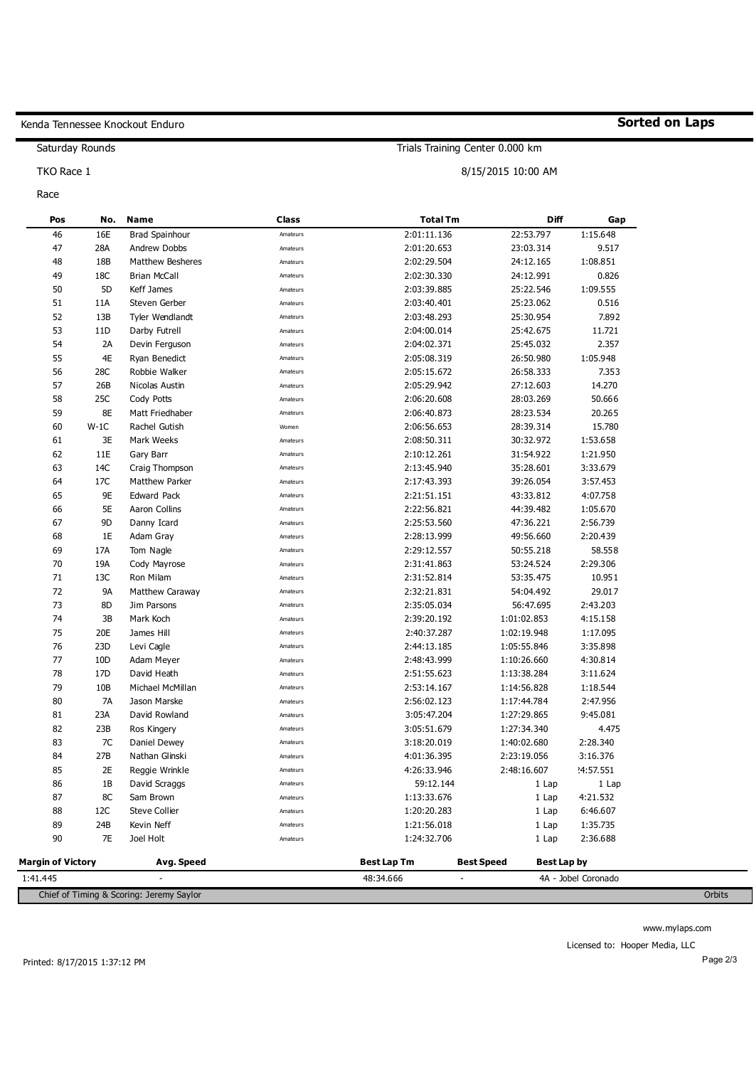### Kenda Tennessee Knockout Enduro

**No.** 

**Name** 

Saturday Rounds

TKO Race 1

Race

**Pos** 

### 46 47 48 49 50 51 52 53 54 55 56 57 58 59 60 61 62 63 64 65 66 67 68 69 70 71 72 73 74 75 76 77 78 79 80 81 82 83 84 85 86 87 88 16E 28A 18B 18C 5D 11A 13B 11D 2A 4E 28C 26B 25C 8E W-1C 3E 11E  $14C$ 17C 9E 5E 9D 1E 17A 19A 13C 9A 8D 3B 20E 23D 10D 17D 10B 7A 23A 23B 7C 27B  $2F$ 1B 8C 12C 24B Brad Spainhour Andrew Dobbs Matthew Besheres Brian McCall Keff James Steven Gerber Tyler Wendlandt Darby Futrell Devin Ferguson Ryan Benedict Robbie Walker Nicolas Austin Cody Potts Matt Friedhaber Rachel Gutish Mark Weeks Gary Barr Craig Thompson Matthew Parker Edward Pack Aaron Collins Danny Icard Adam Gray Tom Nagle Cody Mayrose Ron Milam Matthew Caraway Jim Parsons Mark Koch James Hill Levi Cagle Adam Meyer David Heath Michael McMillan Jason Marske David Rowland Ros Kingery Daniel Dewey Nathan Glinski Reggie Wrinkle David Scraggs Sam Brown Steve Collier Kevin Neff Amateurs Amateurs Amateurs Amateurs Amateurs Amateurs Amateurs Amateurs Amateurs Amateurs Amateurs Amateurs Amateurs Amateurs Women Amateurs Amateurs Amateurs Amateurs Amateurs Amateurs Amateurs Amateurs Amateurs Amateurs Amateurs Amateurs Amateurs Amateurs Amateurs Amateurs Amateurs Amateurs Amateurs Amateurs Amateurs Amateurs Amateurs Amateurs Amateurs Amateurs Amateurs Amateurs 2:01:11.136 2:01:20.653 2:02:29.504 2:02:30.330 2:03:39.885 2:03:40.401 2:03:48.293 2:04:00.014 2:04:02.371 2:05:08.319 2:05:15.672 2:05:29.942 2:06:20.608 2:06:40.873 2:06:56.653 2:08:50.311 2:10:12.261 2:13:45.940 2:17:43.393 2:21:51.151 2:22:56.821 2:25:53.560 2:28:13.999 2:29:12.557 2:31:41.863 2:31:52.814 2:32:21.831 2:35:05.034 2:39:20.192 2:40:37.287 2:44:13.185 2:48:43.999 2:51:55.623 2:53:14.167 2:56:02.123 3:05:47.204 3:05:51.679 3:18:20.019 4:01:36.395 4:26:33.946 59:12.144 1:13:33.676 1:20:20.283 1:21:56.018 22:53.797 23:03.314 24:12.165 24:12.991 25:22.546 25:23.062 25:30.954 25:42.675 25:45.032 26:50.980 26:58.333 27:12.603 28:03.269 28:23.534 28:39.314 30:32.972 31:54.922 35:28.601 39:26.054 43:33.812 44:39.482 47:36.221 49:56.660 50:55.218 53:24.524 53:35.475 54:04.492 56:47.695 1:01:02.853 1:02:19.948 1:05:55.846 1:10:26.660 1:13:38.284 1:14:56.828 1:17:44.784 1:27:29.865 1:27:34.340 1:40:02.680 2:23:19.056 2:48:16.607  $1$  Lap 1 Lap 1 Lap 1:15.648 9.517 1:08.851 0.826 1:09.555 0.516 7.892 11.721 2.357 1:05.948 7.353 14.270 50.666 20.265 15.780 1:53.658 1:21.950 3:33.679 3:57.453 4:07.758 1:05.670 2:56.739 2:20.439 58.558 2:29.306 10.951 29.017 2:43.203 4:15.158 1:17.095 3:35.898 4:30.814 3:11.624 1:18.544 2:47.956 9:45.081 4.475 2:28.340 43:16.376 24:57.551 1 Lap 14:21.532 6:46.607 1:35.735

**Class** 

### **Sorted on Laps**

Trials Training Center 0.000 km

**Total Tm** 

8/15/2015 10:00 AM

**Diff** 

**Gap** 

| 90                                       | 7F | Joel Holt  | Amateurs | 1:24:32.706        |                          | 2:36.688<br>l Lap   |        |
|------------------------------------------|----|------------|----------|--------------------|--------------------------|---------------------|--------|
| <b>Margin of Victory</b>                 |    | Avg. Speed |          | <b>Best Lap Tm</b> | Best Speed               | Best Lap by         |        |
| 1:41.445                                 |    | -          |          | 48:34.666          | $\overline{\phantom{a}}$ | 4A - Jobel Coronado |        |
| Chief of Timing & Scoring: Jeremy Saylor |    |            |          |                    |                          |                     | Orbits |

Amateurs

www.mylaps.com

Licensed to: Hooper Media, LLC

1 Lap

89